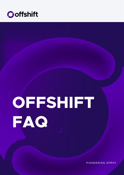

# **OFFSHIFT FAQ**

#### PIONEERING #PRIFI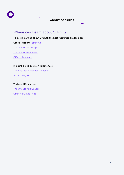**To begin learning about Offshift, the best resources available are:**

**Official Website:** [offshift.io](http://offshift.io )

[The Offshift Whitepaper](https://offshift.io/content/offshift_whitepaper_v1.pdf)

[The Offshift Pitch Deck](https://offshift.io/content/offshift_pitchdeck_v2.pdf)

**[Offshift Academy](https://www.youtube.com/watch?v=KkQvHCxZL6I&list=PLi6JU2sJsdbhEcaBxsYlYvYuQV84SENls)** 

#### **In-depth blogs posts on Tokenomics:**

[The Anti-Idea Execution Paradox](https://offshift.io/public/blog/2021-12-16-offshift-the-anti-idea-execution-paradox/)

[Architecting XFT](https://offshift.io/public/blog/2022-01-10-architecting-xft/)

#### **Technical Resources:**

[The Offshift Yellowpaper](https://offshift.io/content/Yellowpaper.pdf)

[Offshift's GitLab Repo](https://open.offshift.io/offshiftXFT/protocol-main)

#### **ABOUT OFFSHIFT**

## Where can I learn about Offshift?

 $\sqrt{2}$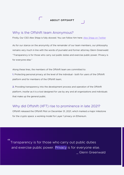## $66$ Transparency is for those who carry out public duties and exercise public power. Privacy is for everyone else. \_ Glenn Greenwald

## Why is the Offshift team Anonymous?

Firstly, Our CSO Alex Shipp is fully doxxed. You can follow him here: [Alex Shipp on Twitter](https://twitter.com/AlexShippXFT)

As for our stance on the anonymity of the remainder of our team members, our philosophy remains very much in line with the words of journalist and former attorney Glenn Greenwald: "Transparency is for those who carry out public duties and exercise public power. Privacy is for everyone else."

Along these lines, the members of the Offshift team are committed to:

**1.** Protecting personal privacy at the level of the individual - both for users of the Offshift platform and for members of the Offshift team;

**2.** Providing transparency into the development process and operation of the Offshift platform, insofar as it is a tool designed for use by any and all organizations and individuals that make up the general public.

## Why did Offshift (XFT) rise to prominence in late 2021?

Offshift released the Offshift Pilot on December 31, 2021, which marked a major milestone for the crypto space: a working model for Layer 1 privacy on Ethereum.

#### **ABOUT OFFSHIFT**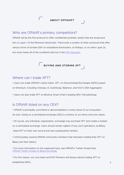#### **ABOUT OFFSHIFT**

# **BUYING AND STORING XFT**

#### Where can I trade XFT?

#### Who are Offshift's primary competitors?

Offshift will be the first protocol to offer confidential synthetic assets that are issued and live on Layer 1 of the Ethereum blockchain. There exist a number of other protocols that offer various forms of private DeFi on standalone blockchains, on Rollups, or on other Layer 2s, but none meets all of the conditions laid out in the [PriFi Standard.](https://www.youtube.com/watch?v=ECEKE5fU5r0)

• Users can trade Offshift's native token, XFT, on Decentralized Exchanges (DEXs) based on Ethereum, including Uniswap v3, SushiSwap, Balancer, and 1inch's DEX Aggregator.

• Users can also trade XFT on Binance Smart Chain's leading DEX, PancakeSwap.

## Is Offshift listed on any CEX?

• Offshift is principally committed to decentralization in every facet of our ecosystem.

As such, listing on a centralized exchange (CEX) is contrary to our ethos and core values.

• Of course, any individual, organization, exchange may purchase XFT and create a market on a centralized exchange. Users should remain vigilant of any such operations, as Bilaxy listed XFT on their own accord and was subsequently hacked.

• Unfortunately, several Offshift community members that had been holding their XFT on

Bilaxy lost their tokens.

• For more information on the supposed hack, see Offshift's Twitter thread here: [Offshift Twitter thread on Bilaxy Exchange](https://twitter.com/OffshiftXFT/status/1351198873390354433?s=20)

• For this reason, our core team and PriFi Pioneers will always advise trading XFT on

established DEXs.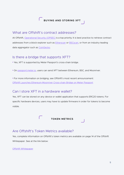## What are Offshift's contract addresses?

At Offshift, [Operational Security \(OPSEC\)](https://offshift.io/public/blog/2021-08-09-the-role-of-isps-in-the-modern-internet/) is a top priority. It is best practice to retrieve contract addresses from a block explorer such as [Etherscan](http://etherscan.io) or [BSCscan,](http://bscscan.com) or from an industry-leading data aggregator such as [CoinGecko.](http://coingecko.com)

## Is there a bridge that supports XFT?

- Yes, XFT is supported by Meter Passport's cross-chain bridge.
- On [passport.meter.io](http://passport.meter.io), users can send XFT between Ethereum, BSC, and Moonriver.
- For more information on bridging, see Offshift's most recent announcement: [Offshift Launches Ethereum-Moonriver Cross-chain Bridge on Meter Passport](https://offshift.io/public/blog/2021-12-15-offshift-launches-ethereum-moonriver-cross-chain-bridge-on-meter-passport/)

# Can I store XFT in a hardware wallet?

Yes, XFT can be stored on any device or wallet application that supports ERC20 tokens. For specific hardware devices, users may have to update firmware in order for tokens to become visible.

#### Are Offshift's Token Metrics available?

Yes, complete information on Offshfit's token metrics are available on page 14 of the Offshift

Whitepaper. See at the link below:

[Offshift Whitepaper](https://offshift.io/content/offshift_whitepaper_v1.pdf)

# **BUYING AND STORING XFT**

#### **TOKEN METRICS**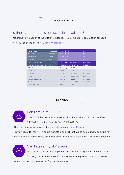## Is there a token emission schedule available?

Yes, included in page 14 of the Offshift Whitepaper is a complete token emission schedule

for XFT. See at the link here: [Offshift Whitepaper](https://offshift.io/content/offshift_whitepaper_v1.pdf)

#### Can I stake my XFT?

- There are staking guides available for **Sushiswap** and **PancakeSwap**.
- Providing liquidity for XFT in public markets is and will continue to be a primary objective for

• Yes, XFT tokenholders can stake as Liquidity Providers (LPs) on SushiSwap

(XFT/WETH) and on PancakeSwap (XFT/WBNB).

Offshift. For this reason, single-asset staking for XFT is not a feature that will be implemented.



#### Can I stake my zkAssets?

The Offshift team plans to implement a zkAsset staking feature at some point

following the launch of the Offshift Mainnet. At the present time, no date has

been announced for the release of any such features.

#### **TOKEN METRICS**

**STAKING**



| <b>Token Supply</b>               | 10,000,000 | Seed Sale Price                 |             | \$0.10                  |
|-----------------------------------|------------|---------------------------------|-------------|-------------------------|
| Seed sale                         | 500,000    | <b>Private Sale Price</b>       |             | \$0.15                  |
| Private sale                      | 1,000,000  | <b>Listing Price</b>            |             | \$0.20                  |
| Liquidity                         | 250,000    | <b>Total Raise</b>              |             | \$200,000               |
| <b>Initial Circulating Supply</b> | 1,750,000  | Initial Market Cap (List Price) |             | \$350,000               |
| Initial Circulating Supply %      | 17.5%      | Fully Diluted Cap (List Price)  |             | \$2,000,000             |
| <b>Allocation</b>                 |            | <b>Percentage</b>               | # of Tokens | <b>Value at Listing</b> |
| <b>Token Sale</b>                 |            | 15.00%                          | 1,500,000   | \$300,000               |
| Liquidity                         |            | 5.00%                           | 500,000     | \$100,000               |
| Team                              |            | 20.00%                          | 2,000,000   | \$400,000               |
| Marketing/Ecosystem               |            | 22.50%                          | 2,250,000   | \$450,000               |
| Development                       |            | 22.50%                          | 2,250,000   | \$450,000               |
| <b>Staking Rewards</b>            |            | 15.00%                          | 1,500,000   | \$300,000               |
|                                   |            |                                 |             |                         |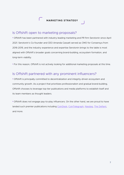## Is Offshift open to marketing proposals?

• Offshift has been partnered with industry-leading marketing and PR firm Serotonin since April 2021. Serotonin's Co-founder and CEO Amanda Cassatt served as CMO for Consensys from 2016-2019, and the industry experience and expertise Serotonin brings to the table is most aligned with Offshift's broader goals concerning brand-building, ecosystem formation, and long-term viability.

• For this reason, Offshift is not actively looking for additional marketing proposals at this time.

## Is Offshift partnered with any prominent influencers?

• Offshift is principally committed to decentralization and integrity-driven ecosystem and community growth. As a project that prioritizes professionalism and gradual brand-building, Offshift chooses to leverage top-tier publications and media platforms to establish itself and its team members as thought leaders.

• Offshift does not engage pay-to-play influencers. On the other hand, we are proud to have landed such premier publications including [CoinDesk](https://www.coindesk.com/markets/2021/08/16/privacy-without-defi-is-boring-defi-without-privacy-is-predatory/), [CoinTelegraph](https://cointelegraph.com/news/collateral-damage-defi-s-ticking-time-bomb), [Nasdaq,](https://www.nasdaq.com/articles/why-privacy-matters-more-than-ever-in-the-age-of-crypto-2021-09-08) [The Defiant,](https://thedefiant.io/zero-knowledge-ethereum-layer-1/) and more.

#### **MARKETING STRATEGY**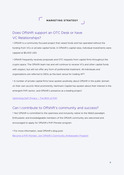# Does Offshift support an OTC Desk or have VC Relationships?

• Offshift is a community-focused project that raised funds and has operated without the funding from VCs or private capital funds. In Offshift's capital raise, individual investments were capped at \$5,000 USD.

• Offshift frequently receives proposals and OTC requests from capital firms throughout the crypto space. The Offshfit team has and will continue to receive VCs and other capital funds with respect, but will not offer any form of preferential treatment. All individuals and organizations are referred to DEXs as the best venue for trading XFT.

• A number of private capital firms have spoken positively about Offshift in the public domain on their own accord. Most prominently, Hartmann Capital has spoken about their interest in the emergent PriFi sector, and Offshift's presence as a leading project:

#### [Optimizing DeFi Privacy – The Birth of PriFi](https://www.hartmann-capital.com/content/optimizing-defi-privacy)

## Can I contribute to Offshift's community and success?

• Yes! Offshift is committed to the openness and inclusivity native to the Web3 paradigm. Enthusiastic and knowledgeable members of the Offshift community are welcomed and encouraged to apply for Offshift's PriFi Pioneer program.

• For more information, read Offshift's blog post:

[Become a PriFi Pioneer: Join Offshift's Community Ambassador Program](https://offshift.io/public/blog/2021-8-30-become-a-prifi-pioneer/)

#### **MARKETING STRATEGY**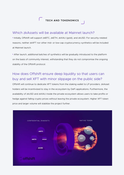#### Which zkAssets will be available at Mainnet launch?

• Initially, Offshift will support zkBTC, zkETH, zkXAU (gold), and zkUSD. For security-related reasons, neither zkXFT nor other mid- or low-cap cryptocurrency synthetics will be included at Mainnet launch.

• After launch, additional batches of synthetics will be gradually introduced to the platform on the basis of community interest, withstanding that they do not compromise the ongoing stability of the Offshift protocol.

# How does Offshift ensure deep liquidity so that users can buy and sell XFT with minor slippage on the public side?

Offshift will continue to dedicate XFT tokens from the staking wallet to LP providers. zkAsset holders will be incentivized to stay in the ecosystem by DeFi applications. Furthermore, the availability of zkUSD and zkXAU inside the private ecosystem allows users to take profits or hedge against falling crypto prices without leaving the private ecosystem. Higher XFT token price and larger volume will stabilize the project further.



#### **TECH AND TOKENOMICS**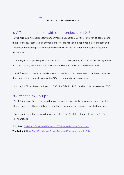#### Is Offshift compatible with other projects or L2s?

• Offshift is building out its ecosystem primarily on Ethereum Layer 1. However, to serve users that prefer a low-cost trading environment, Offshift will also be deployed on Moonbeam and Moonriver, the leading EVM-compatible Parachains in the Polkadot and Kusama ecosystems respectively.

• With regard to expanding to additional blockchain ecosystems, more is not necessarily more, and liquidity fragmentation is an important variable that must be considered as well.

• Offshift remains open to expanding to additional blockchain ecosystems on the grounds that they may add substantial value to the Offshift community and user base.

• Although XFT has been deployed on BSC, the Offshift platform will not be deployed on BSC.

#### Is Offshift a zk-Rollup?

• Offshift employs Bulletproof zero knowledge proofs exclusively for privacy-related functions. Offshift does not utilize zk-Rollups or employ zk proofs for any scalability-related functions.

• For more information on zero knowledge, check out Offshift's blog post, and our Op-Ed in The Defiant:

**Blog Post:** [Bulletproofs, zkSNARKs, and zkSTARKs Walk into a Blockchain](https://offshift.io/public/blog/2021-11-24-bulletproofs-zksnarks-zkstarks/)

**The Defiant:** [How Zero-Knowledge Proofs Became Ethereum's Magic Bullets](https://thedefiant.io/zero-knowledge-ethereum-layer-1/)

## **TECH AND TOKENOMICS**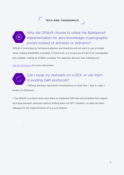Why did Offshift choose to utilize the Bulletproof implementation for zero-knowledge cryptographic proofs instead of zkSnarks or zkSnarks?

Offshift is committed to full decentralization and therefore did not want to use a trusted setup, making zkSNARKS unsuitable. Furthermore, our chosen proof had to be manageable and scalable, making zk-STARKs unwieldy. The apparent decision was a Bulletproof.

[See this blog post](https://offshift.io/public/blog/2021-11-24-bulletproofs-zksnarks-zkstarks/) for more information.



# Can I swap my zkAssets on a DEX, or use them in existing DeFi protocols?

• Minting zkAssets represents a tremendous on-chain feat – that is, Layer 1 privacy on Ethereum.

• The Offshift core team does have plans to implement DEX-like functionalities that support exchange between zkAssets without Shifting back into XFT. However, no date has been released for the implementation of any such feature.

## **TECH AND TOKENOMICS**